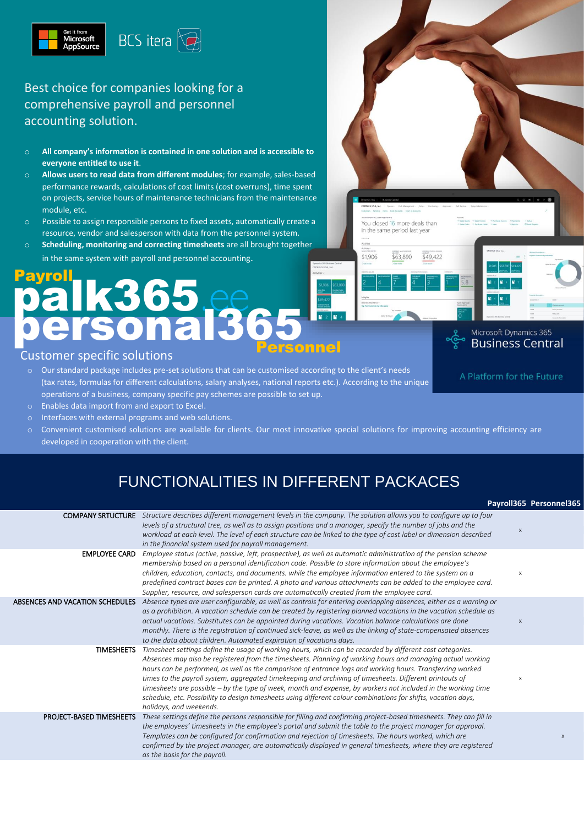

Best choice for companies looking for a comprehensive payroll and personnel accounting solution.

- o **All company's information is contained in one solution and is accessible to everyone entitled to use it**.
- o **Allows users to read data from different modules**; for example, sales-based performance rewards, calculations of cost limits (cost overruns), time spent on projects, service hours of maintenance technicians from the maintenance module, etc.
- o Possible to assign responsible persons to fixed assets, automatically create a resource, vendor and salesperson with data from the personnel system.
- **Scheduling, monitoring and correcting timesheets** are all brought together in the same system with payroll and personnel accounting.

# palk365.ee onal3 Payroll Personnel

#### Customer specific solutions

- $\circ$  Our standard package includes pre-set solutions that can be customised according to the client's needs (tax rates, formulas for different calculations, salary analyses, national reports etc.). According to the unique operations of a business, company specific pay schemes are possible to set up.
- Enables data import from and export to Excel.
- Interfaces with external programs and web solutions.
- o Convenient customised solutions are available for clients. Our most innovative special solutions for improving accounting efficiency are developed in cooperation with the client.

You closed 16 more deals than in the same period last yea

\$63,890

 $$49,422$ 

Microsoft Dynamics 365 **Business Central** 

A Platform for the Future

\$1,906

### FUNCTIONALITIES IN DIFFERENT PACKACES

|                                 |                                                                                                                                                                                                                                                                                                                                                                                                                                                                                                                                                                                                                                                                                                               |   | Payroll365 Personnel365 |
|---------------------------------|---------------------------------------------------------------------------------------------------------------------------------------------------------------------------------------------------------------------------------------------------------------------------------------------------------------------------------------------------------------------------------------------------------------------------------------------------------------------------------------------------------------------------------------------------------------------------------------------------------------------------------------------------------------------------------------------------------------|---|-------------------------|
| <b>COMPANY SRTUCTURE</b>        | Structure describes different management levels in the company. The solution allows you to configure up to four<br>levels of a structural tree, as well as to assign positions and a manager, specify the number of jobs and the<br>workload at each level. The level of each structure can be linked to the type of cost label or dimension described<br>in the financial system used for payroll management.                                                                                                                                                                                                                                                                                                | X |                         |
| <b>EMPLOYEE CARD</b>            | Employee status (active, passive, left, prospective), as well as automatic administration of the pension scheme<br>membership based on a personal identification code. Possible to store information about the employee's<br>children, education, contacts, and documents. while the employee information entered to the system on a<br>predefined contract bases can be printed. A photo and various attachments can be added to the employee card.<br>Supplier, resource, and salesperson cards are automatically created from the employee card.                                                                                                                                                           | X |                         |
| ABSENCES AND VACATION SCHEDULES | Absence types are user configurable, as well as controls for entering overlapping absences, either as a warning or<br>as a prohibition. A vacation schedule can be created by registering planned vacations in the vacation schedule as<br>actual vacations. Substitutes can be appointed during vacations. Vacation balance calculations are done<br>monthly. There is the registration of continued sick-leave, as well as the linking of state-compensated absences<br>to the data about children. Automated expiration of vacations days.                                                                                                                                                                 | X |                         |
| <b>TIMESHEETS</b>               | Timesheet settings define the usage of working hours, which can be recorded by different cost categories.<br>Absences may also be registered from the timesheets. Planning of working hours and managing actual working<br>hours can be performed, as well as the comparison of entrance logs and working hours. Transferring worked<br>times to the payroll system, aggregated timekeeping and archiving of timesheets. Different printouts of<br>timesheets are possible – by the type of week, month and expense, by workers not included in the working time<br>schedule, etc. Possibility to design timesheets using different colour combinations for shifts, vacation days,<br>holidays, and weekends. | X |                         |
| <b>PROJECT-BASED TIMESHEETS</b> | These settings define the persons responsible for filling and confirming project-based timesheets. They can fill in<br>the employees' timesheets in the employee's portal and submit the table to the project manager for approval.<br>Templates can be configured for confirmation and rejection of timesheets. The hours worked, which are<br>confirmed by the project manager, are automatically displayed in general timesheets, where they are registered<br>as the basis for the payroll.                                                                                                                                                                                                               |   | $\mathsf X$             |
|                                 |                                                                                                                                                                                                                                                                                                                                                                                                                                                                                                                                                                                                                                                                                                               |   |                         |